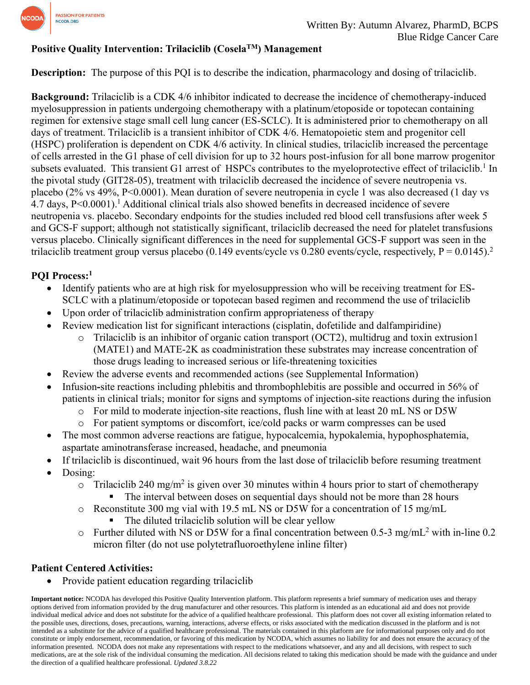

# **Positive Quality Intervention: Trilaciclib (CoselaTM) Management**

**Description:** The purpose of this PQI is to describe the indication, pharmacology and dosing of trilaciclib.

**Background:** Trilaciclib is a CDK 4/6 inhibitor indicated to decrease the incidence of chemotherapy-induced myelosuppression in patients undergoing chemotherapy with a platinum/etoposide or topotecan containing regimen for extensive stage small cell lung cancer (ES-SCLC). It is administered prior to chemotherapy on all days of treatment. Trilaciclib is a transient inhibitor of CDK 4/6. Hematopoietic stem and progenitor cell (HSPC) proliferation is dependent on CDK 4/6 activity. In clinical studies, trilaciclib increased the percentage of cells arrested in the G1 phase of cell division for up to 32 hours post-infusion for all bone marrow progenitor subsets evaluated. This transient G1 arrest of HSPCs contributes to the myeloprotective effect of trilaciclib.<sup>1</sup> In the pivotal study (GIT28-05), treatment with trilaciclib decreased the incidence of severe neutropenia vs. placebo (2% vs 49%, P<0.0001). Mean duration of severe neutropenia in cycle 1 was also decreased (1 day vs 4.7 days, P<0.0001). <sup>1</sup> Additional clinical trials also showed benefits in decreased incidence of severe neutropenia vs. placebo. Secondary endpoints for the studies included red blood cell transfusions after week 5 and GCS-F support; although not statistically significant, trilaciclib decreased the need for platelet transfusions versus placebo. Clinically significant differences in the need for supplemental GCS-F support was seen in the trilaciclib treatment group versus placebo (0.149 events/cycle vs 0.280 events/cycle, respectively,  $P = 0.0145$ ).<sup>2</sup>

## **PQI Process:<sup>1</sup>**

- Identify patients who are at high risk for myelosuppression who will be receiving treatment for ES-SCLC with a platinum/etoposide or topotecan based regimen and recommend the use of trilaciclib
- Upon order of trilaciclib administration confirm appropriateness of therapy
- Review medication list for significant interactions (cisplatin, dofetilide and dalfampiridine)
	- o Trilaciclib is an inhibitor of organic cation transport (OCT2), multidrug and toxin extrusion1 (MATE1) and MATE-2K as coadministration these substrates may increase concentration of those drugs leading to increased serious or life-threatening toxicities
- Review the adverse events and recommended actions (see Supplemental Information)
- Infusion**-**site reactions including phlebitis and thrombophlebitis are possible and occurred in 56% of patients in clinical trials; monitor for signs and symptoms of injection-site reactions during the infusion
	- o For mild to moderate injection-site reactions, flush line with at least 20 mL NS or D5W
	- o For patient symptoms or discomfort, ice/cold packs or warm compresses can be used
- The most common adverse reactions are fatigue, hypocalcemia, hypokalemia, hypophosphatemia, aspartate aminotransferase increased, headache, and pneumonia
- If trilaciclib is discontinued, wait 96 hours from the last dose of trilaciclib before resuming treatment
- Dosing:
	- $\circ$  Trilaciclib 240 mg/m<sup>2</sup> is given over 30 minutes within 4 hours prior to start of chemotherapy The interval between doses on sequential days should not be more than 28 hours
	- o Reconstitute 300 mg vial with 19.5 mL NS or D5W for a concentration of 15 mg/mL
		- The diluted trilaciclib solution will be clear yellow
	- o Further diluted with NS or D5W for a final concentration between 0.5-3 mg/mL<sup>2</sup> with in-line 0.2 micron filter (do not use polytetrafluoroethylene inline filter)

## **Patient Centered Activities:**

• Provide patient education regarding trilaciclib

**Important notice:** NCODA has developed this Positive Quality Intervention platform. This platform represents a brief summary of medication uses and therapy options derived from information provided by the drug manufacturer and other resources. This platform is intended as an educational aid and does not provide individual medical advice and does not substitute for the advice of a qualified healthcare professional. This platform does not cover all existing information related to the possible uses, directions, doses, precautions, warning, interactions, adverse effects, or risks associated with the medication discussed in the platform and is not intended as a substitute for the advice of a qualified healthcare professional. The materials contained in this platform are for informational purposes only and do not constitute or imply endorsement, recommendation, or favoring of this medication by NCODA, which assumes no liability for and does not ensure the accuracy of the information presented. NCODA does not make any representations with respect to the medications whatsoever, and any and all decisions, with respect to such medications, are at the sole risk of the individual consuming the medication. All decisions related to taking this medication should be made with the guidance and under the direction of a qualified healthcare professional. *Updated 3.8.22*